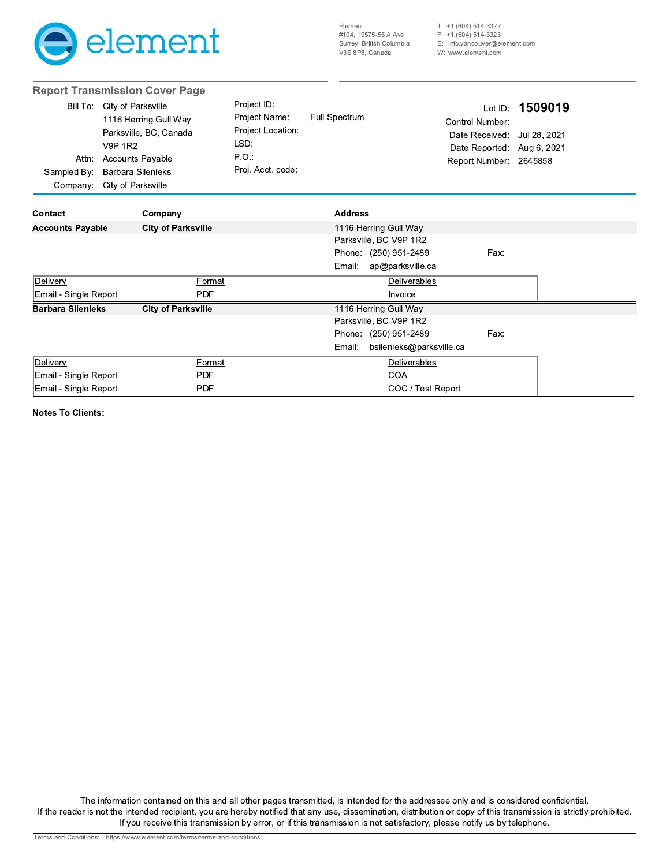

 $T: +1(604) 514-3322$  $F: +1(604) 514-3323$ E: info.vancouver@element.com W: www.element.com

|                                  | <b>Report Transmission Cover Page</b>                                                                                                                                         |                                                                                        |                            |                                                                                                                   |         |
|----------------------------------|-------------------------------------------------------------------------------------------------------------------------------------------------------------------------------|----------------------------------------------------------------------------------------|----------------------------|-------------------------------------------------------------------------------------------------------------------|---------|
| Attn:<br>Sampled By:<br>Company: | Bill To: City of Parksville<br>1116 Herring Gull Way<br>Parksville, BC, Canada<br><b>V9P 1R2</b><br><b>Accounts Payable</b><br><b>Barbara Silenieks</b><br>City of Parksville | Project ID:<br>Project Name:<br>Project Location:<br>LSD:<br>P.O.<br>Proj. Acct. code: | Full Spectrum              | Lot ID:<br>Control Number:<br>Date Received: Jul 28, 2021<br>Date Reported: Aug 6, 2021<br>Report Number: 2645858 | 1509019 |
| Contact                          | Company                                                                                                                                                                       |                                                                                        | <b>Address</b>             |                                                                                                                   |         |
| <b>Accounts Payable</b>          | <b>City of Parksville</b>                                                                                                                                                     |                                                                                        | 1116 Herring Gull Way      |                                                                                                                   |         |
|                                  |                                                                                                                                                                               |                                                                                        | Parksville, BC V9P 1R2     |                                                                                                                   |         |
|                                  |                                                                                                                                                                               |                                                                                        | Phone: (250) 951-2489      | Fax:                                                                                                              |         |
|                                  |                                                                                                                                                                               |                                                                                        | Email:<br>ap@parksville.ca |                                                                                                                   |         |
| Delivery                         | Format                                                                                                                                                                        |                                                                                        | Deliverables               |                                                                                                                   |         |
| Email - Single Report            | <b>PDF</b>                                                                                                                                                                    |                                                                                        | Invoice                    |                                                                                                                   |         |
| <b>Barbara Silenieks</b>         | <b>City of Parksville</b>                                                                                                                                                     |                                                                                        | 1116 Herring Gull Way      |                                                                                                                   |         |
|                                  |                                                                                                                                                                               |                                                                                        | Parksville, BC V9P 1R2     |                                                                                                                   |         |
|                                  |                                                                                                                                                                               |                                                                                        | Phone: (250) 951-2489      | Fax:                                                                                                              |         |
|                                  |                                                                                                                                                                               |                                                                                        | Email:                     | bsilenieks@parksville.ca                                                                                          |         |
| Delivery                         | Format                                                                                                                                                                        | Deliverables                                                                           |                            |                                                                                                                   |         |
| Email - Single Report            | <b>PDF</b>                                                                                                                                                                    | <b>COA</b>                                                                             |                            |                                                                                                                   |         |
| Email - Single Report            | <b>PDF</b>                                                                                                                                                                    |                                                                                        |                            | COC / Test Report                                                                                                 |         |

**Notes To Clients:** 

The information contained on this and all other pages transmitted, is intended for the addressee only and is considered confidential. If the reader is not the intended recipient, you are hereby notified that any use, dissemination, distribution or copy of this transmission is strictly prohibited. If you receive this transmission by error, or if this transmission is not satisfactory, please notify us by telephone.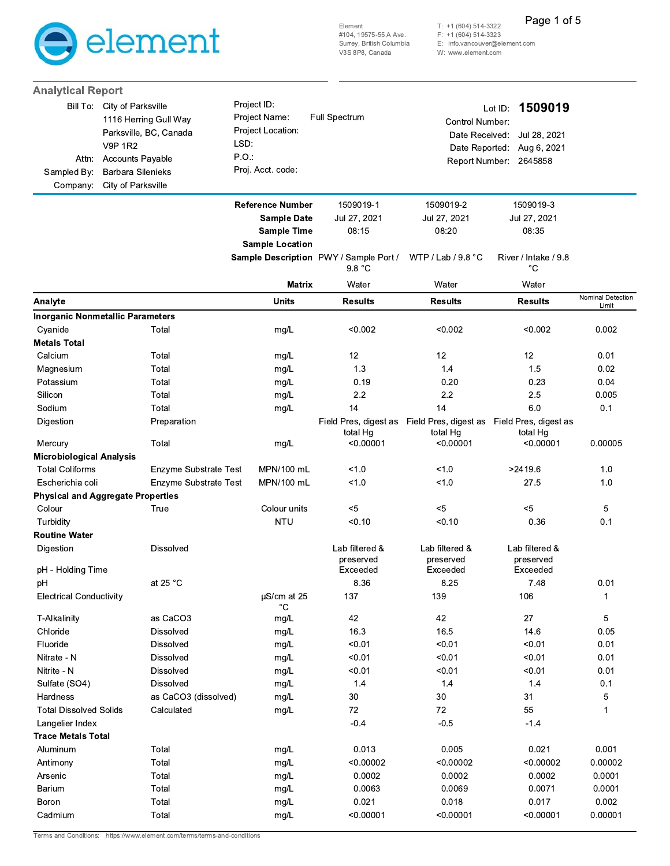

Page 1 of 5

T: +1 (604) 514-3322<br>F: +1 (604) 514-3323<br>E: info.vancouver@element.com

W: www.element.com

| <b>Analytical Report</b>                   |                                                                                                  |                                                                   |                                                  |                                                                               |                                                                  |                   |
|--------------------------------------------|--------------------------------------------------------------------------------------------------|-------------------------------------------------------------------|--------------------------------------------------|-------------------------------------------------------------------------------|------------------------------------------------------------------|-------------------|
|                                            | Bill To: City of Parksville<br>1116 Herring Gull Way<br>Parksville, BC, Canada<br><b>V9P 1R2</b> | Project ID:<br>Project Name:<br>Project Location:<br>LSD:<br>P.O. | Full Spectrum                                    | Control Number:<br>Date Received:                                             | 1509019<br>Lot ID:<br>Jul 28, 2021<br>Date Reported: Aug 6, 2021 |                   |
| Sampled By:                                | Attn: Accounts Payable<br><b>Barbara Silenieks</b>                                               | Proj. Acct. code:                                                 |                                                  |                                                                               | Report Number: 2645858                                           |                   |
| Company:                                   | City of Parksville                                                                               |                                                                   |                                                  |                                                                               |                                                                  |                   |
|                                            |                                                                                                  | <b>Reference Number</b>                                           | 1509019-1                                        | 1509019-2                                                                     | 1509019-3                                                        |                   |
|                                            |                                                                                                  | <b>Sample Date</b>                                                | Jul 27, 2021                                     | Jul 27, 2021                                                                  | Jul 27, 2021                                                     |                   |
|                                            |                                                                                                  | <b>Sample Time</b><br><b>Sample Location</b>                      | 08:15                                            | 08:20                                                                         | 08:35                                                            |                   |
|                                            |                                                                                                  |                                                                   | Sample Description PWY / Sample Port /<br>9.8 °C | WTP / Lab / $9.8 °C$                                                          | River / Intake / 9.8<br>$^{\circ}C$                              |                   |
|                                            |                                                                                                  | <b>Matrix</b>                                                     | Water                                            | Water                                                                         | Water                                                            |                   |
| Analyte                                    |                                                                                                  | <b>Units</b>                                                      | <b>Results</b>                                   | <b>Results</b>                                                                | <b>Results</b>                                                   | Nominal Detection |
|                                            | <b>Inorganic Nonmetallic Parameters</b>                                                          |                                                                   |                                                  |                                                                               |                                                                  | Limit             |
| Cyanide                                    | Total                                                                                            | mg/L                                                              | < 0.002                                          | < 0.002                                                                       | < 0.002                                                          | 0.002             |
| <b>Metals Total</b>                        |                                                                                                  |                                                                   |                                                  |                                                                               |                                                                  |                   |
| Calcium                                    | Total                                                                                            | mg/L                                                              | 12                                               | 12                                                                            | 12                                                               | 0.01              |
| Magnesium                                  | Total                                                                                            | mg/L                                                              | 1.3                                              | 1.4                                                                           | 1.5                                                              | 0.02              |
| Potassium                                  | Total                                                                                            | mg/L                                                              | 0.19                                             | 0.20                                                                          | 0.23                                                             | 0.04              |
| Silicon                                    | Total                                                                                            | mg/L                                                              | 2.2                                              | 2.2                                                                           | 2.5                                                              | 0.005             |
| Sodium                                     | Total                                                                                            | mg/L                                                              | 14                                               | 14                                                                            | 6.0                                                              | 0.1               |
| Digestion                                  | Preparation                                                                                      |                                                                   | total Hg                                         | Field Pres, digest as Field Pres, digest as Field Pres, digest as<br>total Hg | total Hg                                                         |                   |
| Mercury                                    | Total                                                                                            | mg/L                                                              | < 0.00001                                        | < 0.00001                                                                     | < 0.00001                                                        | 0.00005           |
| <b>Microbiological Analysis</b>            |                                                                                                  |                                                                   |                                                  |                                                                               |                                                                  |                   |
| <b>Total Coliforms</b><br>Escherichia coli | Enzyme Substrate Test<br>Enzyme Substrate Test                                                   | MPN/100 mL<br>MPN/100 mL                                          | 1.0<br>1.0                                       | 1.0<br>1.0                                                                    | >2419.6<br>27.5                                                  | 1.0<br>1.0        |
|                                            | <b>Physical and Aggregate Properties</b>                                                         |                                                                   |                                                  |                                                                               |                                                                  |                   |
| Colour                                     | True                                                                                             | Colour units                                                      | $5$                                              | $5$                                                                           | $5$                                                              | 5                 |
| Turbidity                                  |                                                                                                  | <b>NTU</b>                                                        | < 0.10                                           | < 0.10                                                                        | 0.36                                                             | 0.1               |
| <b>Routine Water</b>                       |                                                                                                  |                                                                   |                                                  |                                                                               |                                                                  |                   |
| Digestion                                  | <b>Dissolved</b>                                                                                 |                                                                   | Lab filtered &<br>preserved                      | Lab filtered &<br>preserved                                                   | Lab filtered &<br>preserved                                      |                   |
| pH - Holding Time<br>pH                    | at 25 $^{\circ}$ C                                                                               |                                                                   | Exceeded<br>8.36                                 | Exceeded<br>8.25                                                              | Exceeded<br>7.48                                                 | 0.01              |
| <b>Electrical Conductivity</b>             |                                                                                                  | µS/cm at 25                                                       | 137                                              | 139                                                                           | 106                                                              | 1                 |
|                                            |                                                                                                  | $^{\circ}C$                                                       |                                                  |                                                                               |                                                                  |                   |
| T-Alkalinity                               | as CaCO3                                                                                         | mg/L                                                              | 42                                               | 42                                                                            | 27                                                               | 5                 |
| Chloride                                   | Dissolved                                                                                        | mg/L                                                              | 16.3                                             | 16.5                                                                          | 14.6                                                             | 0.05              |
| Fluoride                                   | Dissolved                                                                                        | mg/L                                                              | < 0.01                                           | < 0.01                                                                        | < 0.01                                                           | 0.01              |
| Nitrate - N                                | Dissolved                                                                                        | mg/L                                                              | < 0.01                                           | < 0.01                                                                        | < 0.01                                                           | 0.01              |
| Nitrite - N                                | Dissolved                                                                                        | mg/L                                                              | < 0.01                                           | < 0.01                                                                        | < 0.01                                                           | 0.01              |
| Sulfate (SO4)                              | Dissolved                                                                                        | mg/L                                                              | 1.4                                              | 1.4                                                                           | 1.4                                                              | 0.1               |
| Hardness                                   | as CaCO3 (dissolved)                                                                             | mg/L                                                              | $30\,$                                           | 30                                                                            | 31                                                               | 5                 |
| <b>Total Dissolved Solids</b>              | Calculated                                                                                       | mg/L                                                              | 72                                               | 72                                                                            | 55                                                               | $\mathbf 1$       |
| Langelier Index                            |                                                                                                  |                                                                   | $-0.4$                                           | $-0.5$                                                                        | $-1.4$                                                           |                   |
| <b>Trace Metals Total</b>                  |                                                                                                  |                                                                   |                                                  |                                                                               |                                                                  |                   |
| Aluminum                                   | Total                                                                                            | mg/L                                                              | 0.013                                            | 0.005                                                                         | 0.021                                                            | 0.001             |
| Antimony                                   | Total                                                                                            | mg/L                                                              | < 0.00002                                        | < 0.00002                                                                     | < 0.00002                                                        | 0.00002           |
| Arsenic                                    | Total                                                                                            | mg/L                                                              | 0.0002                                           | 0.0002                                                                        | 0.0002                                                           | 0.0001            |
| Barium                                     | Total                                                                                            | mg/L                                                              | 0.0063                                           | 0.0069                                                                        | 0.0071                                                           | 0.0001            |
| Boron                                      | Total                                                                                            | mg/L                                                              | 0.021                                            | 0.018                                                                         | 0.017                                                            | 0.002             |
|                                            |                                                                                                  |                                                                   |                                                  |                                                                               |                                                                  |                   |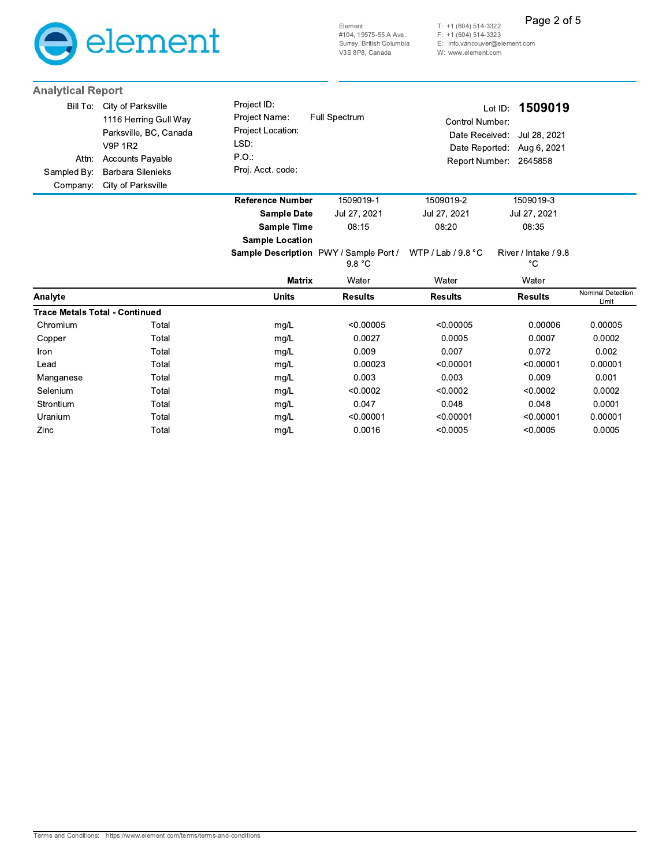

Page 2 of 5

T: +1 (604) 514-3322<br>F: +1 (604) 514-3323<br>E: info.vancouver@element.com

W: www.element.com

| <b>Analytical Report</b>                     |                                                                                                                                                                      |                                                                                        |                                                  |                                                                       |                                                              |                            |
|----------------------------------------------|----------------------------------------------------------------------------------------------------------------------------------------------------------------------|----------------------------------------------------------------------------------------|--------------------------------------------------|-----------------------------------------------------------------------|--------------------------------------------------------------|----------------------------|
| Bill To:<br>Attn:<br>Sampled By:<br>Company: | City of Parksville<br>1116 Herring Gull Way<br>Parksville, BC, Canada<br><b>V9P 1R2</b><br><b>Accounts Payable</b><br><b>Barbara Silenieks</b><br>City of Parksville | Project ID:<br>Project Name:<br>Project Location:<br>LSD:<br>PO.:<br>Proj. Acct. code: | <b>Full Spectrum</b>                             | Control Number:<br>Date Received:<br>Date Reported:<br>Report Number: | 1509019<br>Lot ID:<br>Jul 28, 2021<br>Aug 6, 2021<br>2645858 |                            |
|                                              |                                                                                                                                                                      | <b>Reference Number</b>                                                                | 1509019-1                                        | 1509019-2                                                             | 1509019-3                                                    |                            |
|                                              |                                                                                                                                                                      | <b>Sample Date</b>                                                                     | Jul 27, 2021                                     | Jul 27, 2021                                                          | Jul 27, 2021                                                 |                            |
|                                              |                                                                                                                                                                      | <b>Sample Time</b>                                                                     | 08:15                                            | 08:20                                                                 | 08:35                                                        |                            |
|                                              |                                                                                                                                                                      | <b>Sample Location</b>                                                                 |                                                  |                                                                       |                                                              |                            |
|                                              |                                                                                                                                                                      |                                                                                        | Sample Description PWY / Sample Port /<br>9.8 °C | WTP / Lab / $9.8 °C$                                                  | River / Intake / 9.8<br>°С                                   |                            |
|                                              |                                                                                                                                                                      | <b>Matrix</b>                                                                          | Water                                            | Water                                                                 | Water                                                        |                            |
| Analyte                                      |                                                                                                                                                                      | <b>Units</b>                                                                           | <b>Results</b>                                   | <b>Results</b>                                                        | <b>Results</b>                                               | Nominal Detection<br>Limit |
|                                              | <b>Trace Metals Total - Continued</b>                                                                                                                                |                                                                                        |                                                  |                                                                       |                                                              |                            |
| Chromium                                     | Total                                                                                                                                                                | mg/L                                                                                   | < 0.00005                                        | < 0.00005                                                             | 0.00006                                                      | 0.00005                    |
| Copper                                       | Total                                                                                                                                                                | mg/L                                                                                   | 0.0027                                           | 0.0005                                                                | 0.0007                                                       | 0.0002                     |
| Iron                                         | Total                                                                                                                                                                | mg/L                                                                                   | 0.009                                            | 0.007                                                                 | 0.072                                                        | 0.002                      |
| Lead                                         | Total                                                                                                                                                                | mg/L                                                                                   | 0.00023                                          | < 0.00001                                                             | < 0.00001                                                    | 0.00001                    |
| Manganese                                    | Total                                                                                                                                                                | mg/L                                                                                   | 0.003                                            | 0.003                                                                 | 0.009                                                        | 0.001                      |
| Selenium                                     | Total                                                                                                                                                                | mg/L                                                                                   | < 0.0002                                         | < 0.0002                                                              | < 0.0002                                                     | 0.0002                     |
| Strontium                                    | Total                                                                                                                                                                | mg/L                                                                                   | 0.047                                            | 0.048                                                                 | 0.048                                                        | 0.0001                     |
| Uranium                                      | Total                                                                                                                                                                | mg/L                                                                                   | < 0.00001                                        | < 0.00001                                                             | < 0.00001                                                    | 0.00001                    |
| Zinc                                         | Total                                                                                                                                                                | mg/L                                                                                   | 0.0016                                           | < 0.0005                                                              | < 0.0005                                                     | 0.0005                     |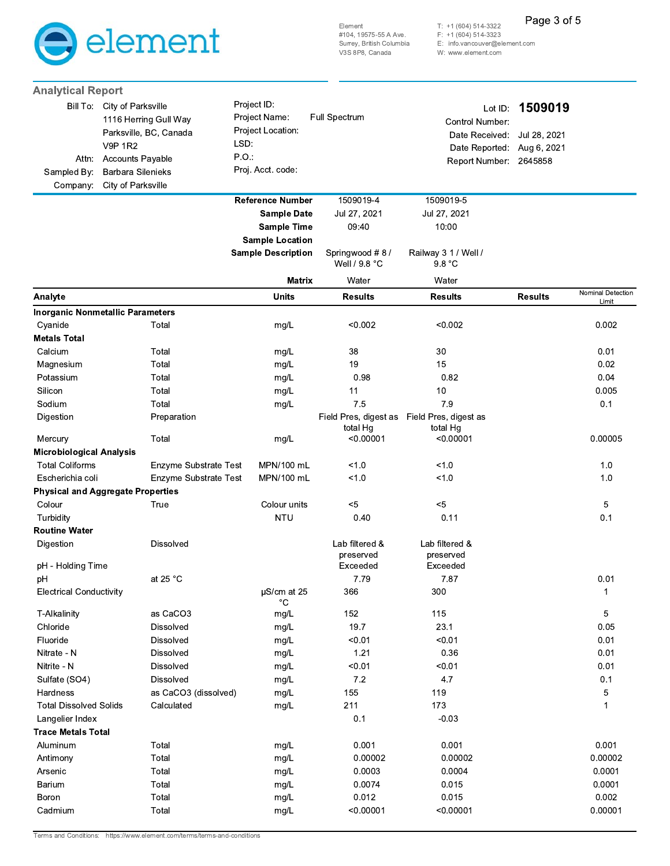

**Analytical Report** 

T: +1 (604) 514-3322<br>F: +1 (604) 514-3323<br>E: info.vancouver@element.com W: www.element.com

Page 3 of 5

| Bill To:<br>Attn:<br>Sampled By:<br>Company: | City of Parksville<br>1116 Herring Gull Way<br>Parksville, BC, Canada<br><b>V9P 1R2</b><br><b>Accounts Payable</b><br>Barbara Silenieks<br>City of Parksville | Project ID:<br>Project Name:<br>Project Location:<br>LSD:<br>P.O.<br>Proj. Acct. code: | Full Spectrum                           | Lot ID:<br>Control Number:<br>Date Received:<br>Date Reported:<br>Report Number: 2645858 | 1509019<br>Jul 28, 2021<br>Aug 6, 2021 |                   |
|----------------------------------------------|---------------------------------------------------------------------------------------------------------------------------------------------------------------|----------------------------------------------------------------------------------------|-----------------------------------------|------------------------------------------------------------------------------------------|----------------------------------------|-------------------|
|                                              |                                                                                                                                                               | <b>Reference Number</b><br><b>Sample Date</b><br><b>Sample Time</b>                    | 1509019-4<br>Jul 27, 2021<br>09:40      | 1509019-5<br>Jul 27, 2021<br>10:00                                                       |                                        |                   |
|                                              |                                                                                                                                                               | <b>Sample Location</b><br><b>Sample Description</b>                                    | Springwood #8/                          | Railway 3 1 / Well /                                                                     |                                        |                   |
|                                              |                                                                                                                                                               | <b>Matrix</b>                                                                          | Well / 9.8 °C<br>Water                  | 9.8 °C<br>Water                                                                          |                                        |                   |
| Analyte                                      |                                                                                                                                                               | <b>Units</b>                                                                           | <b>Results</b>                          | <b>Results</b>                                                                           | <b>Results</b>                         | Nominal Detection |
|                                              | <b>Inorganic Nonmetallic Parameters</b>                                                                                                                       |                                                                                        |                                         |                                                                                          |                                        | Limit             |
| Cyanide                                      | Total                                                                                                                                                         | mg/L                                                                                   | < 0.002                                 | < 0.002                                                                                  |                                        | 0.002             |
| <b>Metals Total</b>                          |                                                                                                                                                               |                                                                                        |                                         |                                                                                          |                                        |                   |
| Calcium                                      | Total                                                                                                                                                         | mg/L                                                                                   | 38                                      | 30                                                                                       |                                        | 0.01              |
| Magnesium                                    | Total                                                                                                                                                         | mg/L                                                                                   | 19                                      | 15                                                                                       |                                        | 0.02              |
| Potassium                                    | Total                                                                                                                                                         | mg/L                                                                                   | 0.98                                    | 0.82                                                                                     |                                        | 0.04              |
| Silicon                                      | Total                                                                                                                                                         | mg/L                                                                                   | 11                                      | 10                                                                                       |                                        | 0.005             |
| Sodium                                       | Total                                                                                                                                                         | mg/L                                                                                   | 7.5                                     | 7.9                                                                                      |                                        | 0.1               |
| Digestion                                    | Preparation                                                                                                                                                   |                                                                                        | Field Pres, digest as<br>total Hg       | Field Pres, digest as<br>total Hg                                                        |                                        |                   |
| Mercury                                      | Total                                                                                                                                                         | mg/L                                                                                   | < 0.00001                               | < 0.00001                                                                                |                                        | 0.00005           |
| <b>Microbiological Analysis</b>              |                                                                                                                                                               |                                                                                        |                                         |                                                                                          |                                        |                   |
| <b>Total Coliforms</b>                       | Enzyme Substrate Test                                                                                                                                         | MPN/100 mL                                                                             | 1.0                                     | 10                                                                                       |                                        | 1.0               |
| Escherichia coli                             | Enzyme Substrate Test                                                                                                                                         | MPN/100 mL                                                                             | 1.0                                     | < 1.0                                                                                    |                                        | 1.0               |
|                                              | <b>Physical and Aggregate Properties</b>                                                                                                                      |                                                                                        |                                         | $5$                                                                                      |                                        |                   |
| Colour<br>Turbidity                          | True                                                                                                                                                          | Colour units<br><b>NTU</b>                                                             | $< 5$<br>0.40                           | 0.11                                                                                     |                                        | 5<br>0.1          |
| <b>Routine Water</b>                         |                                                                                                                                                               |                                                                                        |                                         |                                                                                          |                                        |                   |
| Digestion<br>pH - Holding Time               | <b>Dissolved</b>                                                                                                                                              |                                                                                        | Lab filtered &<br>preserved<br>Exceeded | Lab filtered &<br>preserved<br>Exceeded                                                  |                                        |                   |
| pH                                           | at 25 °C                                                                                                                                                      |                                                                                        | 7.79                                    | 7.87                                                                                     |                                        | 0.01              |
| <b>Electrical Conductivity</b>               |                                                                                                                                                               | µS/cm at 25<br>$^{\circ}C$                                                             | 366                                     | 300                                                                                      |                                        | 1                 |
| T-Alkalinity                                 | as CaCO3                                                                                                                                                      | mg/L                                                                                   | 152                                     | 115                                                                                      |                                        | 5                 |
| Chloride                                     | Dissolved                                                                                                                                                     | mg/L                                                                                   | 19.7                                    | 23.1                                                                                     |                                        | 0.05              |
| Fluoride                                     | Dissolved                                                                                                                                                     | mg/L                                                                                   | < 0.01                                  | < 0.01                                                                                   |                                        | 0.01              |
| Nitrate - N                                  | Dissolved                                                                                                                                                     | mg/L                                                                                   | 1.21                                    | 0.36                                                                                     |                                        | 0.01              |
| Nitrite - N                                  | Dissolved                                                                                                                                                     | mg/L                                                                                   | < 0.01                                  | < 0.01                                                                                   |                                        | 0.01              |
| Sulfate (SO4)                                | Dissolved                                                                                                                                                     | mg/L                                                                                   | 7.2                                     | 4.7                                                                                      |                                        | 0.1               |
| Hardness                                     | as CaCO3 (dissolved)                                                                                                                                          | mg/L                                                                                   | 155                                     | 119                                                                                      |                                        | 5                 |
| <b>Total Dissolved Solids</b>                | Calculated                                                                                                                                                    | mg/L                                                                                   | 211                                     | 173                                                                                      |                                        | 1                 |
| Langelier Index                              |                                                                                                                                                               |                                                                                        | 0.1                                     | $-0.03$                                                                                  |                                        |                   |
| <b>Trace Metals Total</b>                    |                                                                                                                                                               |                                                                                        |                                         |                                                                                          |                                        |                   |
| Aluminum                                     | Total                                                                                                                                                         | mg/L                                                                                   | 0.001                                   | 0.001<br>0.00002                                                                         |                                        | 0.001             |
| Antimony                                     | Total                                                                                                                                                         | mg/L                                                                                   | 0.00002                                 |                                                                                          |                                        | 0.00002           |
| Arsenic<br>Barium                            | Total<br>Total                                                                                                                                                | mg/L                                                                                   | 0.0003<br>0.0074                        | 0.0004<br>0.015                                                                          |                                        | 0.0001<br>0.0001  |
| Boron                                        | Total                                                                                                                                                         | mg/L                                                                                   | 0.012                                   | 0.015                                                                                    |                                        | 0.002             |
| Cadmium                                      | Total                                                                                                                                                         | mg/L<br>mg/L                                                                           | < 0.00001                               | < 0.00001                                                                                |                                        | 0.00001           |

Terms and Conditions: https://www.element.com/terms/terms-and-conditions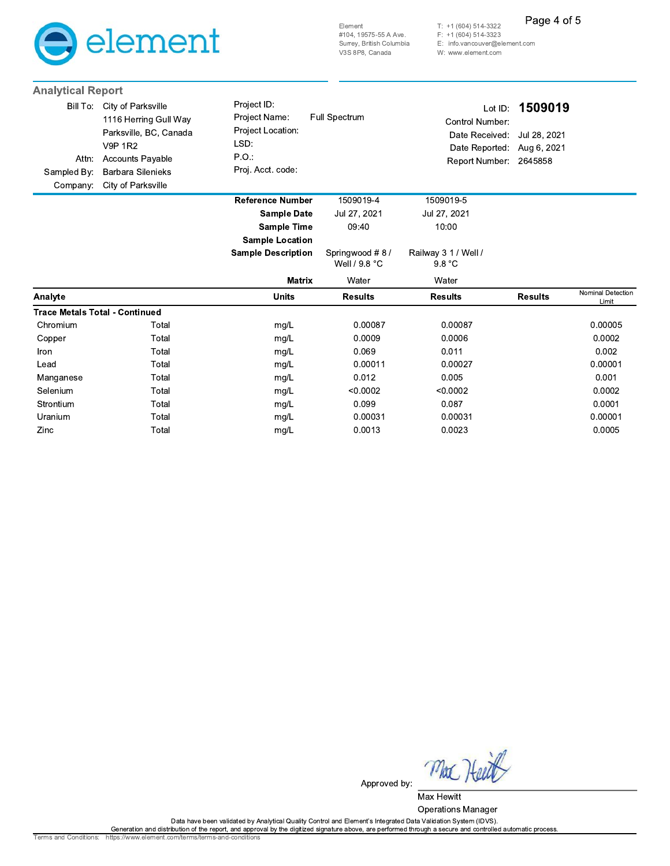

Element #104, 19575-55 A Ave. Surrey, British Columbia V3S 8P8, Canada

 $T: +1(604) 514-3322$  $F: +1(604) 514-3323$ E: info.vancouver@element.com

Page 4 of 5

W: www.element.com

| <b>Analytical Report</b>                     |                                                                                                                                                                      |                                                                                       |                                 |                                                                                          |                                        |                            |
|----------------------------------------------|----------------------------------------------------------------------------------------------------------------------------------------------------------------------|---------------------------------------------------------------------------------------|---------------------------------|------------------------------------------------------------------------------------------|----------------------------------------|----------------------------|
| Bill To:<br>Attn:<br>Sampled By:<br>Company: | City of Parksville<br>1116 Herring Gull Way<br>Parksville, BC, Canada<br><b>V9P 1R2</b><br><b>Accounts Payable</b><br><b>Barbara Silenieks</b><br>City of Parksville | Project ID:<br>Project Name:<br>Project Location:<br>LSD:<br>PO:<br>Proj. Acct. code: | <b>Full Spectrum</b>            | Lot ID:<br>Control Number:<br>Date Received:<br>Date Reported:<br>Report Number: 2645858 | 1509019<br>Jul 28, 2021<br>Aug 6, 2021 |                            |
|                                              |                                                                                                                                                                      | <b>Reference Number</b>                                                               | 1509019-4                       | 1509019-5                                                                                |                                        |                            |
|                                              |                                                                                                                                                                      | <b>Sample Date</b>                                                                    | Jul 27, 2021                    | Jul 27, 2021                                                                             |                                        |                            |
|                                              |                                                                                                                                                                      | <b>Sample Time</b>                                                                    | 09:40                           | 10:00                                                                                    |                                        |                            |
|                                              |                                                                                                                                                                      | <b>Sample Location</b>                                                                |                                 |                                                                                          |                                        |                            |
|                                              |                                                                                                                                                                      | <b>Sample Description</b>                                                             | Springwood #8/<br>Well / 9.8 °C | Railway 3 1 / Well /<br>9.8 °C                                                           |                                        |                            |
|                                              |                                                                                                                                                                      | <b>Matrix</b>                                                                         | Water                           | Water                                                                                    |                                        |                            |
| Analyte                                      |                                                                                                                                                                      | <b>Units</b>                                                                          | <b>Results</b>                  | <b>Results</b>                                                                           | <b>Results</b>                         | Nominal Detection<br>Limit |
| <b>Trace Metals Total - Continued</b>        |                                                                                                                                                                      |                                                                                       |                                 |                                                                                          |                                        |                            |
| Chromium                                     | Total                                                                                                                                                                | mg/L                                                                                  | 0.00087                         | 0.00087                                                                                  |                                        | 0.00005                    |
| Copper                                       | Total                                                                                                                                                                | mg/L                                                                                  | 0.0009                          | 0.0006                                                                                   |                                        | 0.0002                     |
| Iron                                         | Total                                                                                                                                                                | mg/L                                                                                  | 0.069                           | 0.011                                                                                    |                                        | 0.002                      |
| Lead                                         | Total                                                                                                                                                                | mg/L                                                                                  | 0.00011                         | 0.00027                                                                                  |                                        | 0.00001                    |
| Manganese                                    | Total                                                                                                                                                                | mg/L                                                                                  | 0.012                           | 0.005                                                                                    |                                        | 0.001                      |
| Selenium                                     | Total                                                                                                                                                                | mg/L                                                                                  | < 0.0002                        | < 0.0002                                                                                 |                                        | 0.0002                     |
| Strontium                                    | Total                                                                                                                                                                | mg/L                                                                                  | 0.099                           | 0.087                                                                                    |                                        | 0.0001                     |
| Uranium                                      | Total                                                                                                                                                                | mg/L                                                                                  | 0.00031                         | 0.00031                                                                                  |                                        | 0.00001                    |
| Zinc                                         | Total                                                                                                                                                                | mg/L                                                                                  | 0.0013                          | 0.0023                                                                                   |                                        | 0.0005                     |

Mac Heett Approved by:

Max Hewitt Operations Manager

Data have been validated by Analytical Quality Control and Element's Integrated Data Validation System (IDVS).<br>Generation and distribution of the report, and approval by the digitized signature above, are performed through

Terms and Conditions: https://www.element.com/terms/terms-and-conditions